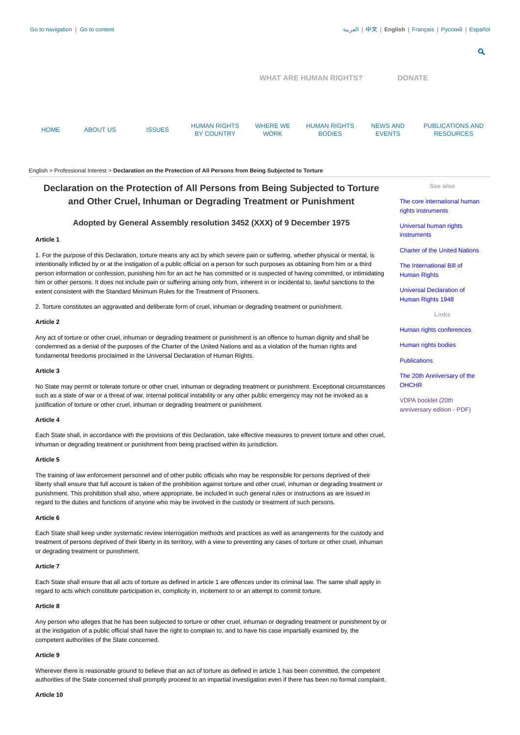<span id="page-0-0"></span>

|             |                 |               |                                                                                                                |                                |                                      |                                  | Q                                           |  |
|-------------|-----------------|---------------|----------------------------------------------------------------------------------------------------------------|--------------------------------|--------------------------------------|----------------------------------|---------------------------------------------|--|
|             |                 |               |                                                                                                                | <b>WHAT ARE HUMAN RIGHTS?</b>  |                                      | <b>DONATE</b>                    |                                             |  |
| <b>HOME</b> | <b>ABOUT US</b> | <b>ISSUES</b> | <b>HUMAN RIGHTS</b><br><b>BY COUNTRY</b>                                                                       | <b>WHERE WE</b><br><b>WORK</b> | <b>HUMAN RIGHTS</b><br><b>BODIES</b> | <b>NEWS AND</b><br><b>EVENTS</b> | <b>PUBLICATIONS AND</b><br><b>RESOURCES</b> |  |
|             |                 |               | English > Professional Interest > Declaration on the Protection of All Persons from Being Subjected to Torture |                                |                                      |                                  |                                             |  |

# <span id="page-0-1"></span>**Declaration on the Protection of All Persons from Being Subjected to Torture and Other Cruel, Inhuman or Degrading Treatment or Punishment**

# **Adopted by General Assembly resolution 3452 (XXX) of 9 December 1975**

### **Article 1**

1. For the purpose of this Declaration, torture means any act by which severe pain or suffering, whether physical or mental, is intentionally inflicted by or at the instigation of a public official on a person for such purposes as obtaining from him or a third person information or confession, punishing him for an act he has committed or is suspected of having committed, or intimidating him or other persons. It does not include pain or suffering arising only from, inherent in or incidental to, lawful sanctions to the extent consistent with the Standard Minimum Rules for the Treatment of Prisoners.

2. Torture constitutes an aggravated and deliberate form of cruel, inhuman or degrading treatment or punishment.

### **Article 2**

Any act of torture or other cruel, inhuman or degrading treatment or punishment is an offence to human dignity and shall be condemned as a denial of the purposes of the Charter of the United Nations and as a violation of the human rights and fundamental freedoms proclaimed in the Universal Declaration of Human Rights.

### **Article 3**

No State may permit or tolerate torture or other cruel, inhuman or degrading treatment or punishment. Exceptional circumstances such as a state of war or a threat of war, internal political instability or any other public emergency may not be invoked as a justification of torture or other cruel, inhuman or degrading treatment or punishment.

### **Article 4**

Each State shall, in accordance with the provisions of this Declaration, take effective measures to prevent torture and other cruel, inhuman or degrading treatment or punishment from being practised within its jurisdiction.

### **Article 5**

The training of law enforcement personnel and of other public officials who may be responsible for persons deprived of their liberty shall ensure that full account is taken of the prohibition against torture and other cruel, inhuman or degrading treatment or punishment. This prohibition shall also, where appropriate, be included in such general rules or instructions as are issued in regard to the duties and functions of anyone who may be involved in the custody or treatment of such persons.

### **Article 6**

Each State shall keep under systematic review interrogation methods and practices as well as arrangements for the custody and treatment of persons deprived of their liberty in its territory, with a view to preventing any cases of torture or other cruel, inhuman or degrading treatment or punishment.

# **Article 7**

Each State shall ensure that all acts of torture as defined in article 1 are offences under its criminal law. The same shall apply in regard to acts which constitute participation in, complicity in, incitement to or an attempt to commit torture.

### **Article 8**

Any person who alleges that he has been subjected to torture or other cruel, inhuman or degrading treatment or punishment by or at the instigation of a public official shall have the right to complain to, and to have his case impartially examined by, the competent authorities of the State concerned.

#### **Article 9**

Wherever there is reasonable ground to believe that an act of torture as defined in article 1 has been committed, the competent authorities of the State concerned shall promptly proceed to an impartial investigation even if there has been no formal complaint.

#### **Article 10**

**See also**

## The core [international](https://www.ohchr.org/EN/ProfessionalInterest/Pages/CoreInstruments.aspx) human rights instruments

Universal human rights [instruments](https://www.ohchr.org/EN/ProfessionalInterest/Pages/UniversalHumanRightsInstruments.aspx)

Charter of the United [Nations](http://www.un.org/en/documents/charter/)

The [International](https://www.ohchr.org/Documents/Publications/FactSheet2Rev.1en.pdf) Bill of Human Rights

Universal [Declaration](https://www.ohchr.org/EN/UDHR/Pages/UDHRIndex.aspx) of Human Rights 1948

**Links**

Human rights [conferences](https://www.ohchr.org/EN/NewsEvents/Pages/Meetings.aspx)

[Human](https://www.ohchr.org/EN/HRBodies/Pages/HumanRightsBodies.aspx) rights bodies

[Publications](https://www.ohchr.org/EN/PublicationsResources/Pages/Publications.aspx)

The 20th [Anniversary](http://at20.ohchr.org/) of the **OHCHR** 

VDPA booklet (20th [anniversary](https://www.ohchr.org/Documents/Events/OHCHR20/VDPA_booklet_English.pdf) edition - PDF)